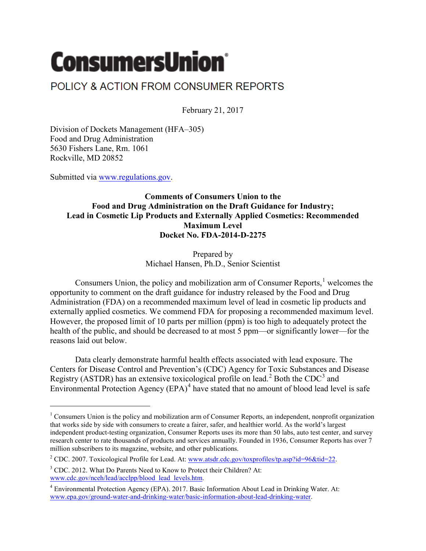## **ConsumersUnion®**

## POLICY & ACTION FROM CONSUMER REPORTS

February 21, 2017

Division of Dockets Management (HFA–305) Food and Drug Administration 5630 Fishers Lane, Rm. 1061 Rockville, MD 20852

Submitted via [www.regulations.gov.](http://www.regulations.gov/)

 $\overline{\phantom{a}}$ 

## **Comments of Consumers Union to the Food and Drug Administration on the Draft Guidance for Industry; Lead in Cosmetic Lip Products and Externally Applied Cosmetics: Recommended Maximum Level Docket No. FDA-2014-D-2275**

Prepared by Michael Hansen, Ph.D., Senior Scientist

Consumers Union, the policy and mobilization arm of Consumer Reports.<sup>[1](#page-0-0)</sup> welcomes the opportunity to comment on the draft guidance for industry released by the Food and Drug Administration (FDA) on a recommended maximum level of lead in cosmetic lip products and externally applied cosmetics. We commend FDA for proposing a recommended maximum level. However, the proposed limit of 10 parts per million (ppm) is too high to adequately protect the health of the public, and should be decreased to at most 5 ppm—or significantly lower—for the reasons laid out below.

Data clearly demonstrate harmful health effects associated with lead exposure. The Centers for Disease Control and Prevention's (CDC) Agency for Toxic Substances and Disease Registry (ASTDR) has an extensive toxicological profile on lead.<sup>[2](#page-0-1)</sup> Both the CDC<sup>[3](#page-0-2)</sup> and Environmental Protection Agency  $(EPA)^4$  $(EPA)^4$  have stated that no amount of blood lead level is safe

<span id="page-0-0"></span><sup>&</sup>lt;sup>1</sup> Consumers Union is the policy and mobilization arm of Consumer Reports, an independent, nonprofit organization that works side by side with consumers to create a fairer, safer, and healthier world. As the world's largest independent product-testing organization, Consumer Reports uses its more than 50 labs, auto test center, and survey research center to rate thousands of products and services annually. Founded in 1936, Consumer Reports has over 7 million subscribers to its magazine, website, and other publications.

<span id="page-0-1"></span><sup>&</sup>lt;sup>2</sup> CDC. 2007. Toxicological Profile for Lead. At: [www.atsdr.cdc.gov/toxprofiles/tp.asp?id=96&tid=22.](http://www.atsdr.cdc.gov/toxprofiles/tp.asp?id=96&tid=22)

<span id="page-0-2"></span><sup>&</sup>lt;sup>3</sup> CDC. 2012. What Do Parents Need to Know to Protect their Children? At: [www.cdc.gov/nceh/lead/acclpp/blood\\_lead\\_levels.htm.](http://www.cdc.gov/nceh/lead/acclpp/blood_lead_levels.htm)

<span id="page-0-3"></span><sup>4</sup> Environmental Protection Agency (EPA). 2017. Basic Information About Lead in Drinking Water. At: [www.epa.gov/ground-water-and-drinking-water/basic-information-about-lead-drinking-water.](https://www.epa.gov/ground-water-and-drinking-water/basic-information-about-lead-drinking-water)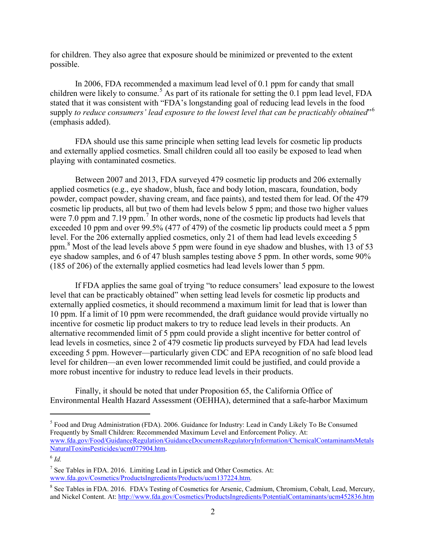for children. They also agree that exposure should be minimized or prevented to the extent possible.

In 2006, FDA recommended a maximum lead level of 0.1 ppm for candy that small children were likely to consume.<sup>[5](#page-1-0)</sup> As part of its rationale for setting the 0.1 ppm lead level, FDA stated that it was consistent with "FDA's longstanding goal of reducing lead levels in the food supply *to reduce consumers' lead exposure to the lowest level that can be practicably obtained*"[6](#page-1-1) (emphasis added).

FDA should use this same principle when setting lead levels for cosmetic lip products and externally applied cosmetics. Small children could all too easily be exposed to lead when playing with contaminated cosmetics.

Between 2007 and 2013, FDA surveyed 479 cosmetic lip products and 206 externally applied cosmetics (e.g., eye shadow, blush, face and body lotion, mascara, foundation, body powder, compact powder, shaving cream, and face paints), and tested them for lead. Of the 479 cosmetic lip products, all but two of them had levels below 5 ppm; and those two higher values were [7](#page-1-2).0 ppm and 7.19 ppm.<sup>7</sup> In other words, none of the cosmetic lip products had levels that exceeded 10 ppm and over 99.5% (477 of 479) of the cosmetic lip products could meet a 5 ppm level. For the 206 externally applied cosmetics, only 21 of them had lead levels exceeding 5 ppm. $8$  Most of the lead levels above 5 ppm were found in eye shadow and blushes, with 13 of 53 eye shadow samples, and 6 of 47 blush samples testing above 5 ppm. In other words, some 90% (185 of 206) of the externally applied cosmetics had lead levels lower than 5 ppm.

If FDA applies the same goal of trying "to reduce consumers' lead exposure to the lowest level that can be practicably obtained" when setting lead levels for cosmetic lip products and externally applied cosmetics, it should recommend a maximum limit for lead that is lower than 10 ppm. If a limit of 10 ppm were recommended, the draft guidance would provide virtually no incentive for cosmetic lip product makers to try to reduce lead levels in their products. An alternative recommended limit of 5 ppm could provide a slight incentive for better control of lead levels in cosmetics, since 2 of 479 cosmetic lip products surveyed by FDA had lead levels exceeding 5 ppm. However—particularly given CDC and EPA recognition of no safe blood lead level for children—an even lower recommended limit could be justified, and could provide a more robust incentive for industry to reduce lead levels in their products.

Finally, it should be noted that under Proposition 65, the California Office of Environmental Health Hazard Assessment (OEHHA), determined that a safe-harbor Maximum

l

<span id="page-1-0"></span><sup>5</sup> Food and Drug Administration (FDA). 2006. Guidance for Industry: Lead in Candy Likely To Be Consumed Frequently by Small Children: Recommended Maximum Level and Enforcement Policy. At: [www.fda.gov/Food/GuidanceRegulation/GuidanceDocumentsRegulatoryInformation/ChemicalContaminantsMetals](http://www.fda.gov/Food/GuidanceRegulation/GuidanceDocumentsRegulatoryInformation/ChemicalContaminantsMetalsNaturalToxinsPesticides/ucm077904.htm) [NaturalToxinsPesticides/ucm077904.htm.](http://www.fda.gov/Food/GuidanceRegulation/GuidanceDocumentsRegulatoryInformation/ChemicalContaminantsMetalsNaturalToxinsPesticides/ucm077904.htm)

<span id="page-1-1"></span> $^6$  *Id.* 

<span id="page-1-2"></span> $<sup>7</sup>$  See Tables in FDA. 2016. Limiting Lead in Lipstick and Other Cosmetics. At:</sup> [www.fda.gov/Cosmetics/ProductsIngredients/Products/ucm137224.htm.](http://www.fda.gov/Cosmetics/ProductsIngredients/Products/ucm137224.htm)

<span id="page-1-3"></span><sup>&</sup>lt;sup>8</sup> See Tables in FDA. 2016. FDA's Testing of Cosmetics for Arsenic, Cadmium, Chromium, Cobalt, Lead, Mercury, and Nickel Content. At:<http://www.fda.gov/Cosmetics/ProductsIngredients/PotentialContaminants/ucm452836.htm>